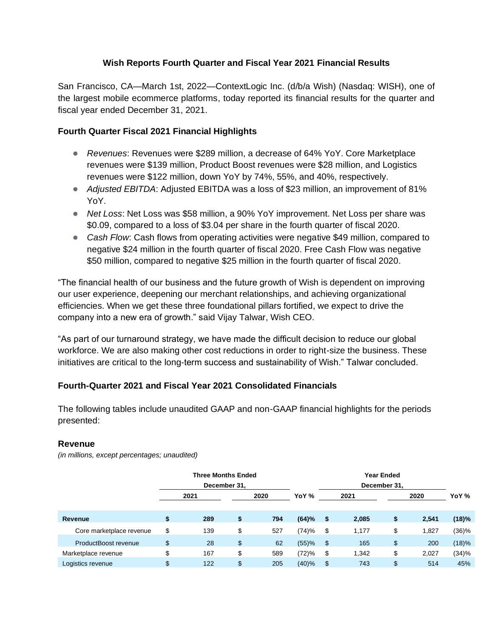### **Wish Reports Fourth Quarter and Fiscal Year 2021 Financial Results**

San Francisco, CA—March 1st, 2022—ContextLogic Inc. (d/b/a Wish) (Nasdaq: WISH), one of the largest mobile ecommerce platforms, today reported its financial results for the quarter and fiscal year ended December 31, 2021.

### **Fourth Quarter Fiscal 2021 Financial Highlights**

- *Revenues*: Revenues were \$289 million, a decrease of 64% YoY. Core Marketplace revenues were \$139 million, Product Boost revenues were \$28 million, and Logistics revenues were \$122 million, down YoY by 74%, 55%, and 40%, respectively.
- *Adjusted EBITDA*: Adjusted EBITDA was a loss of \$23 million, an improvement of 81% YoY.
- *Net Loss*: Net Loss was \$58 million, a 90% YoY improvement. Net Loss per share was \$0.09, compared to a loss of \$3.04 per share in the fourth quarter of fiscal 2020.
- *Cash Flow:* Cash flows from operating activities were negative \$49 million, compared to negative \$24 million in the fourth quarter of fiscal 2020. Free Cash Flow was negative \$50 million, compared to negative \$25 million in the fourth quarter of fiscal 2020.

"The financial health of our business and the future growth of Wish is dependent on improving our user experience, deepening our merchant relationships, and achieving organizational efficiencies. When we get these three foundational pillars fortified, we expect to drive the company into a new era of growth." said Vijay Talwar, Wish CEO.

"As part of our turnaround strategy, we have made the difficult decision to reduce our global workforce. We are also making other cost reductions in order to right-size the business. These initiatives are critical to the long-term success and sustainability of Wish." Talwar concluded.

### **Fourth-Quarter 2021 and Fiscal Year 2021 Consolidated Financials**

The following tables include unaudited GAAP and non-GAAP financial highlights for the periods presented:

#### **Revenue**

*(in millions, except percentages; unaudited)*

|                          | <b>Three Months Ended</b> |                |      |               | Year Ended<br>December 31. |       |    |       |       |  |  |  |
|--------------------------|---------------------------|----------------|------|---------------|----------------------------|-------|----|-------|-------|--|--|--|
|                          | December 31,<br>2021      |                | 2020 | YoY %<br>2021 |                            | 2020  |    | YoY % |       |  |  |  |
| Revenue                  | \$<br>289                 | \$             | 794  | (64)%         | \$                         | 2,085 | \$ | 2,541 | (18)% |  |  |  |
| Core marketplace revenue | \$<br>139                 | \$             | 527  | (74)%         | \$                         | 1.177 | \$ | 1,827 | (36)% |  |  |  |
| ProductBoost revenue     | \$<br>28                  | $\mathfrak{F}$ | 62   | (55)%         | \$                         | 165   | \$ | 200   | (18)% |  |  |  |
| Marketplace revenue      | \$<br>167                 | \$             | 589  | (72)%         | \$                         | 1,342 | \$ | 2,027 | (34)% |  |  |  |
| Logistics revenue        | \$<br>122                 | \$             | 205  | (40)%         | \$                         | 743   | \$ | 514   | 45%   |  |  |  |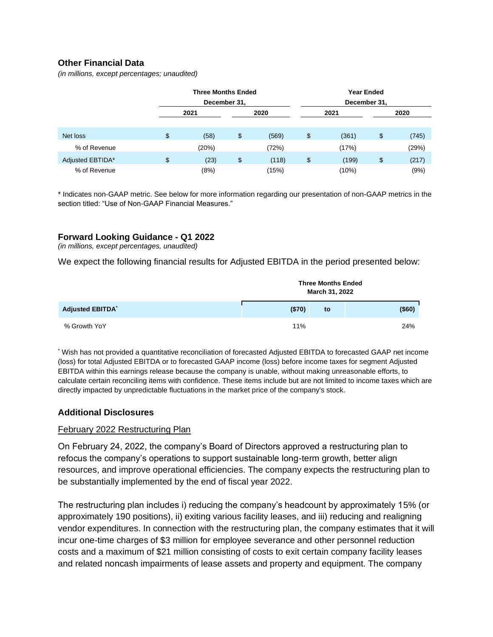### **Other Financial Data**

*(in millions, except percentages; unaudited)*

|                  | <b>Three Months Ended</b><br>December 31, |             |    |       |    |       |
|------------------|-------------------------------------------|-------------|----|-------|----|-------|
|                  | 2021                                      | 2020        |    | 2021  |    | 2020  |
| Net loss         | \$<br>(58)                                | \$<br>(569) | \$ | (361) | \$ | (745) |
| % of Revenue     | (20%)                                     | (72%)       |    | (17%) |    | (29%) |
| Adjusted EBTIDA* | \$<br>(23)                                | \$<br>(118) | \$ | (199) | \$ | (217) |
| % of Revenue     | (8%)                                      | (15%)       |    | (10%) |    | (9%)  |

\* Indicates non-GAAP metric. See below for more information regarding our presentation of non-GAAP metrics in the section titled: "Use of Non-GAAP Financial Measures."

#### **Forward Looking Guidance - Q1 2022**

*(in millions, except percentages, unaudited)*

We expect the following financial results for Adjusted EBITDA in the period presented below:

|                         |        | <b>Three Months Ended</b><br>March 31, 2022 |        |
|-------------------------|--------|---------------------------------------------|--------|
| <b>Adjusted EBITDA*</b> | (\$70) | to                                          | (\$60) |
| % Growth YoY            | 11%    |                                             | 24%    |

\* Wish has not provided a quantitative reconciliation of forecasted Adjusted EBITDA to forecasted GAAP net income (loss) for total Adjusted EBITDA or to forecasted GAAP income (loss) before income taxes for segment Adjusted EBITDA within this earnings release because the company is unable, without making unreasonable efforts, to calculate certain reconciling items with confidence. These items include but are not limited to income taxes which are directly impacted by unpredictable fluctuations in the market price of the company's stock.

#### **Additional Disclosures**

#### February 2022 Restructuring Plan

On February 24, 2022, the company's Board of Directors approved a restructuring plan to refocus the company's operations to support sustainable long-term growth, better align resources, and improve operational efficiencies. The company expects the restructuring plan to be substantially implemented by the end of fiscal year 2022.

The restructuring plan includes i) reducing the company's headcount by approximately 15% (or approximately 190 positions), ii) exiting various facility leases, and iii) reducing and realigning vendor expenditures. In connection with the restructuring plan, the company estimates that it will incur one-time charges of \$3 million for employee severance and other personnel reduction costs and a maximum of \$21 million consisting of costs to exit certain company facility leases and related noncash impairments of lease assets and property and equipment. The company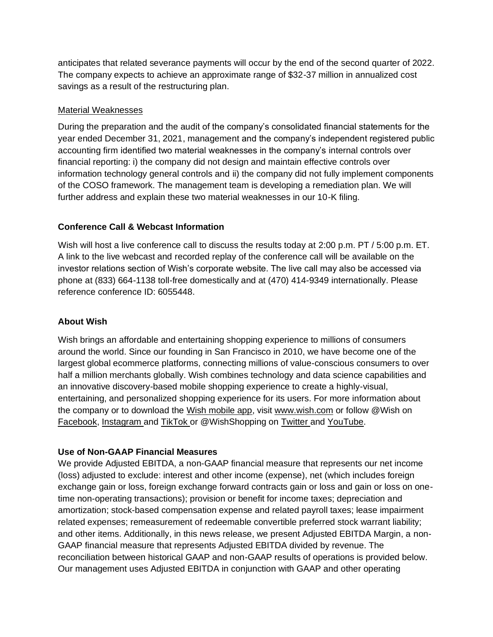anticipates that related severance payments will occur by the end of the second quarter of 2022. The company expects to achieve an approximate range of \$32-37 million in annualized cost savings as a result of the restructuring plan.

### Material Weaknesses

During the preparation and the audit of the company's consolidated financial statements for the year ended December 31, 2021, management and the company's independent registered public accounting firm identified two material weaknesses in the company's internal controls over financial reporting: i) the company did not design and maintain effective controls over information technology general controls and ii) the company did not fully implement components of the COSO framework. The management team is developing a remediation plan. We will further address and explain these two material weaknesses in our 10-K filing.

### **Conference Call & Webcast Information**

Wish will host a live conference call to discuss the results today at 2:00 p.m. PT / 5:00 p.m. ET. A link to the live webcast and recorded replay of the conference call will be available on the investor relations section of Wish's corporate website. The live call may also be accessed via phone at (833) 664-1138 toll-free domestically and at (470) 414-9349 internationally. Please reference conference ID: 6055448.

### **About Wish**

Wish brings an affordable and entertaining shopping experience to millions of consumers around the world. Since our founding in San Francisco in 2010, we have become one of the largest global ecommerce platforms, connecting millions of value-conscious consumers to over half a million merchants globally. Wish combines technology and data science capabilities and an innovative discovery-based mobile shopping experience to create a highly-visual, entertaining, and personalized shopping experience for its users. For more information about the company or to download the [Wish mobile app,](https://apps.apple.com/us/app/wish-shopping-made-fun/id530621395) visi[t](https://cts.businesswire.com/ct/CT?id=smartlink&url=http%3A%2F%2Fwww.wish.com%2F&esheet=52309695&newsitemid=20201020005238&lan=en-US&anchor=www.wish.com&index=1&md5=a051f69e1bb307d3ca63a83b0b78baf2) [www.wish.com](https://cts.businesswire.com/ct/CT?id=smartlink&url=http%3A%2F%2Fwww.wish.com%2F&esheet=52309695&newsitemid=20201020005238&lan=en-US&anchor=www.wish.com&index=1&md5=a051f69e1bb307d3ca63a83b0b78baf2) or follow @Wish o[n](https://www.facebook.com/wish/) [Facebook](https://www.facebook.com/wish/)[,](https://www.instagram.com/wish/) [Instagram](https://www.instagram.com/wish/) an[d](https://www.tiktok.com/@wish?lang=en) [TikTok](https://www.tiktok.com/@wish?lang=en) or @WishShopping o[n](https://twitter.com/WishShopping) [Twitter](https://twitter.com/WishShopping) and [YouTube.](https://www.youtube.com/channel/UCS0V-1JLtAV3iihfzHcdhfg)

### **Use of Non-GAAP Financial Measures**

We provide Adjusted EBITDA, a non-GAAP financial measure that represents our net income (loss) adjusted to exclude: interest and other income (expense), net (which includes foreign exchange gain or loss, foreign exchange forward contracts gain or loss and gain or loss on onetime non-operating transactions); provision or benefit for income taxes; depreciation and amortization; stock-based compensation expense and related payroll taxes; lease impairment related expenses; remeasurement of redeemable convertible preferred stock warrant liability; and other items. Additionally, in this news release, we present Adjusted EBITDA Margin, a non-GAAP financial measure that represents Adjusted EBITDA divided by revenue. The reconciliation between historical GAAP and non-GAAP results of operations is provided below. Our management uses Adjusted EBITDA in conjunction with GAAP and other operating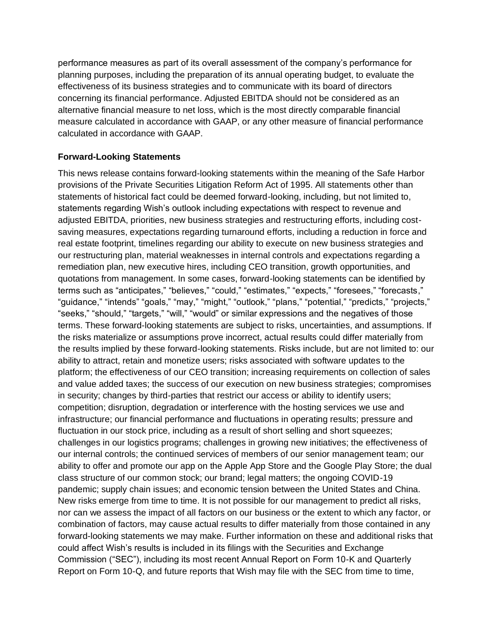performance measures as part of its overall assessment of the company's performance for planning purposes, including the preparation of its annual operating budget, to evaluate the effectiveness of its business strategies and to communicate with its board of directors concerning its financial performance. Adjusted EBITDA should not be considered as an alternative financial measure to net loss, which is the most directly comparable financial measure calculated in accordance with GAAP, or any other measure of financial performance calculated in accordance with GAAP.

#### **Forward-Looking Statements**

This news release contains forward-looking statements within the meaning of the Safe Harbor provisions of the Private Securities Litigation Reform Act of 1995. All statements other than statements of historical fact could be deemed forward-looking, including, but not limited to, statements regarding Wish's outlook including expectations with respect to revenue and adjusted EBITDA, priorities, new business strategies and restructuring efforts, including costsaving measures, expectations regarding turnaround efforts, including a reduction in force and real estate footprint, timelines regarding our ability to execute on new business strategies and our restructuring plan, material weaknesses in internal controls and expectations regarding a remediation plan, new executive hires, including CEO transition, growth opportunities, and quotations from management. In some cases, forward-looking statements can be identified by terms such as "anticipates," "believes," "could," "estimates," "expects," "foresees," "forecasts," "guidance," "intends" "goals," "may," "might," "outlook," "plans," "potential," "predicts," "projects," "seeks," "should," "targets," "will," "would" or similar expressions and the negatives of those terms. These forward-looking statements are subject to risks, uncertainties, and assumptions. If the risks materialize or assumptions prove incorrect, actual results could differ materially from the results implied by these forward-looking statements. Risks include, but are not limited to: our ability to attract, retain and monetize users; risks associated with software updates to the platform; the effectiveness of our CEO transition; increasing requirements on collection of sales and value added taxes; the success of our execution on new business strategies; compromises in security; changes by third-parties that restrict our access or ability to identify users; competition; disruption, degradation or interference with the hosting services we use and infrastructure; our financial performance and fluctuations in operating results; pressure and fluctuation in our stock price, including as a result of short selling and short squeezes; challenges in our logistics programs; challenges in growing new initiatives; the effectiveness of our internal controls; the continued services of members of our senior management team; our ability to offer and promote our app on the Apple App Store and the Google Play Store; the dual class structure of our common stock; our brand; legal matters; the ongoing COVID-19 pandemic; supply chain issues; and economic tension between the United States and China. New risks emerge from time to time. It is not possible for our management to predict all risks, nor can we assess the impact of all factors on our business or the extent to which any factor, or combination of factors, may cause actual results to differ materially from those contained in any forward-looking statements we may make. Further information on these and additional risks that could affect Wish's results is included in its filings with the Securities and Exchange Commission ("SEC"), including its most recent Annual Report on Form 10-K and Quarterly Report on Form 10-Q, and future reports that Wish may file with the SEC from time to time,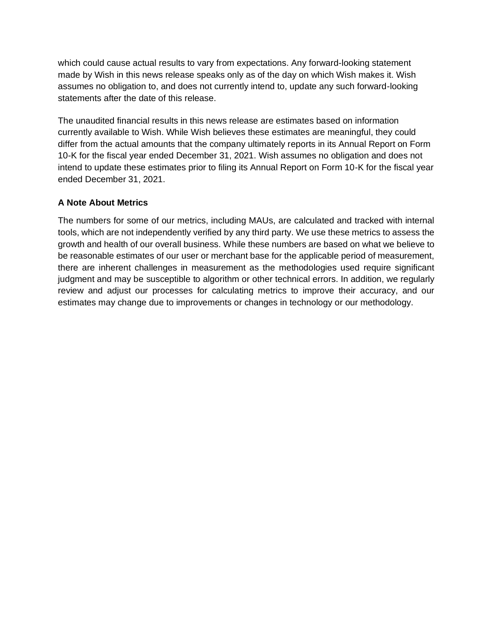which could cause actual results to vary from expectations. Any forward-looking statement made by Wish in this news release speaks only as of the day on which Wish makes it. Wish assumes no obligation to, and does not currently intend to, update any such forward-looking statements after the date of this release.

The unaudited financial results in this news release are estimates based on information currently available to Wish. While Wish believes these estimates are meaningful, they could differ from the actual amounts that the company ultimately reports in its Annual Report on Form 10-K for the fiscal year ended December 31, 2021. Wish assumes no obligation and does not intend to update these estimates prior to filing its Annual Report on Form 10-K for the fiscal year ended December 31, 2021.

### **A Note About Metrics**

The numbers for some of our metrics, including MAUs, are calculated and tracked with internal tools, which are not independently verified by any third party. We use these metrics to assess the growth and health of our overall business. While these numbers are based on what we believe to be reasonable estimates of our user or merchant base for the applicable period of measurement, there are inherent challenges in measurement as the methodologies used require significant judgment and may be susceptible to algorithm or other technical errors. In addition, we regularly review and adjust our processes for calculating metrics to improve their accuracy, and our estimates may change due to improvements or changes in technology or our methodology.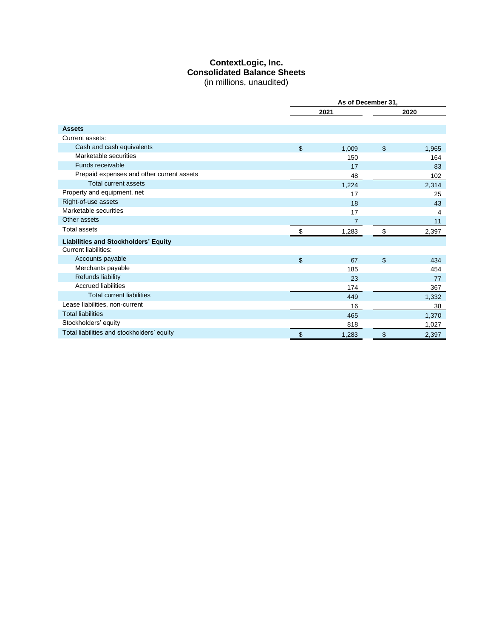#### **ContextLogic, Inc. Consolidated Balance Sheets** (in millions, unaudited)

|                                             |       | As of December 31, |                |       |
|---------------------------------------------|-------|--------------------|----------------|-------|
|                                             |       | 2021               |                | 2020  |
|                                             |       |                    |                |       |
| <b>Assets</b>                               |       |                    |                |       |
| Current assets:                             |       |                    |                |       |
| Cash and cash equivalents                   | \$    | 1,009              | $\mathfrak{S}$ | 1,965 |
| Marketable securities                       |       | 150                |                | 164   |
| Funds receivable                            |       | 17                 |                | 83    |
| Prepaid expenses and other current assets   |       | 48                 |                | 102   |
| <b>Total current assets</b>                 |       | 1,224              |                | 2,314 |
| Property and equipment, net                 |       | 17                 |                | 25    |
| Right-of-use assets                         |       | 18                 |                | 43    |
| Marketable securities                       |       | 17                 |                | 4     |
| Other assets                                |       | $\overline{7}$     |                | 11    |
| <b>Total assets</b>                         | \$.   | 1,283              |                | 2,397 |
| <b>Liabilities and Stockholders' Equity</b> |       |                    |                |       |
| <b>Current liabilities:</b>                 |       |                    |                |       |
| Accounts payable                            | $\$\$ | 67                 | \$             | 434   |
| Merchants payable                           |       | 185                |                | 454   |
| Refunds liability                           |       | 23                 |                | 77    |
| <b>Accrued liabilities</b>                  |       | 174                |                | 367   |
| <b>Total current liabilities</b>            |       | 449                |                | 1,332 |
| Lease liabilities, non-current              |       | 16                 |                | 38    |
| <b>Total liabilities</b>                    |       | 465                |                | 1,370 |
| Stockholders' equity                        |       | 818                |                | 1,027 |
| Total liabilities and stockholders' equity  | \$    | 1,283              | \$             | 2,397 |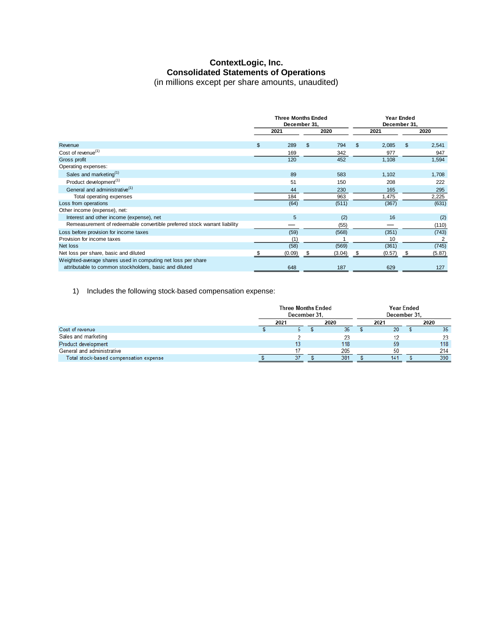#### **ContextLogic, Inc. Consolidated Statements of Operations** (in millions except per share amounts, unaudited)

|                                                                                                                        | <b>Three Months Ended</b><br>December 31, |    |        | Year Ended<br>December 31, |        |   |        |  |
|------------------------------------------------------------------------------------------------------------------------|-------------------------------------------|----|--------|----------------------------|--------|---|--------|--|
|                                                                                                                        | 2021                                      |    | 2020   | 2021                       |        |   | 2020   |  |
| Revenue                                                                                                                | \$<br>289                                 | \$ | 794    | \$                         | 2,085  | S | 2,541  |  |
| Cost of revenue <sup>(1)</sup>                                                                                         | 169                                       |    | 342    |                            | 977    |   | 947    |  |
| Gross profit                                                                                                           | 120                                       |    | 452    |                            | 1,108  |   | 1,594  |  |
| Operating expenses:                                                                                                    |                                           |    |        |                            |        |   |        |  |
| Sales and marketing <sup>(1)</sup>                                                                                     | 89                                        |    | 583    |                            | 1,102  |   | 1,708  |  |
| Product development <sup>(1)</sup>                                                                                     | 51                                        |    | 150    |                            | 208    |   | 222    |  |
| General and administrative <sup>(1)</sup>                                                                              | 44                                        |    | 230    |                            | 165    |   | 295    |  |
| Total operating expenses                                                                                               | 184                                       |    | 963    |                            | 1,475  |   | 2,225  |  |
| Loss from operations                                                                                                   | (64)                                      |    | (511)  |                            | (367)  |   | (631)  |  |
| Other income (expense), net:                                                                                           |                                           |    |        |                            |        |   |        |  |
| Interest and other income (expense), net                                                                               | 5                                         |    | (2)    |                            | 16     |   | (2)    |  |
| Remeasurement of redeemable convertible preferred stock warrant liability                                              |                                           |    | (55)   |                            |        |   | (110)  |  |
| Loss before provision for income taxes                                                                                 | (59)                                      |    | (568)  |                            | (351)  |   | (743)  |  |
| Provision for income taxes                                                                                             | (1)                                       |    |        |                            | 10     |   | 2      |  |
| Net loss                                                                                                               | (58)                                      |    | (569)  |                            | (361)  |   | (745)  |  |
| Net loss per share, basic and diluted                                                                                  | (0.09)                                    | \$ | (3.04) | \$                         | (0.57) | S | (5.87) |  |
| Weighted-average shares used in computing net loss per share<br>attributable to common stockholders, basic and diluted | 648                                       |    | 187    |                            | 629    |   | 127    |  |

1) Includes the following stock-based compensation expense:

|                                        |              | <b>Three Months Ended</b><br>December 31. |  |     |      | <b>Year Ended</b><br>December 31. |  |                 |
|----------------------------------------|--------------|-------------------------------------------|--|-----|------|-----------------------------------|--|-----------------|
|                                        | 2020<br>2021 |                                           |  |     | 2021 | 2020                              |  |                 |
| Cost of revenue                        |              |                                           |  | 35  |      | 20                                |  | 35 <sub>1</sub> |
| Sales and marketing                    |              |                                           |  | 23  |      |                                   |  |                 |
| Product development                    |              | 13                                        |  | 118 |      | -59                               |  | 118             |
| General and administrative             |              |                                           |  | 205 |      | 50                                |  | 214             |
| Total stock-based compensation expense |              |                                           |  | 381 |      | 141                               |  | 390             |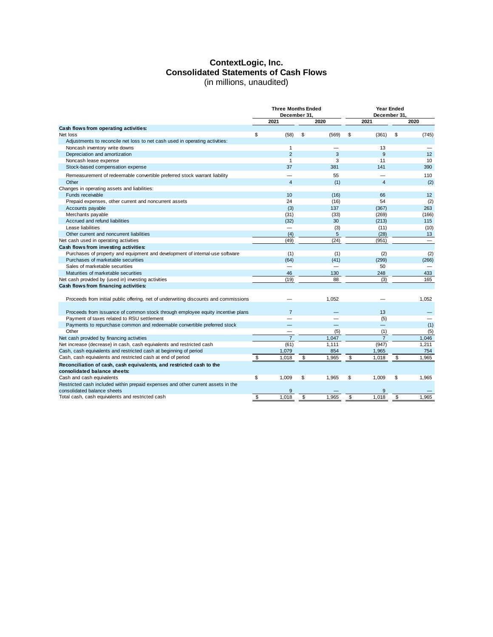#### **ContextLogic, Inc. Consolidated Statements of Cash Flows** (in millions, unaudited)

|                                                                                      |             |                         | <b>Three Months Ended</b><br>December 31. |          | <b>Year Ended</b><br>December 31. |                |    |                          |  |
|--------------------------------------------------------------------------------------|-------------|-------------------------|-------------------------------------------|----------|-----------------------------------|----------------|----|--------------------------|--|
|                                                                                      | 2021        |                         |                                           | 2020     |                                   | 2021           |    | 2020                     |  |
| Cash flows from operating activities:                                                |             |                         |                                           |          |                                   |                |    |                          |  |
| Net loss                                                                             | \$          | (58)                    | \$                                        | (569)    | \$                                | (361)          | \$ | (745)                    |  |
| Adjustments to reconcile net loss to net cash used in operating activities:          |             |                         |                                           |          |                                   |                |    |                          |  |
| Noncash inventory write downs                                                        |             | $\mathbf{1}$            |                                           |          |                                   | 13             |    |                          |  |
| Depreciation and amortization                                                        |             | $\overline{2}$          |                                           | 3        |                                   | 9              |    | 12                       |  |
| Noncash lease expense                                                                |             | $\mathbf{1}$            |                                           | 3        |                                   | 11             |    | 10                       |  |
| Stock-based compensation expense                                                     |             | 37                      |                                           | 381      |                                   | 141            |    | 390                      |  |
| Remeasurement of redeemable convertible preferred stock warrant liability            |             |                         |                                           | 55       |                                   |                |    | 110                      |  |
| Other                                                                                |             | $\overline{\mathbf{4}}$ |                                           | (1)      |                                   | $\overline{4}$ |    | (2)                      |  |
| Changes in operating assets and liabilities:                                         |             |                         |                                           |          |                                   |                |    |                          |  |
| Funds receivable                                                                     |             | 10                      |                                           | (16)     |                                   | 66             |    | 12                       |  |
| Prepaid expenses, other current and noncurrent assets                                |             | 24                      |                                           | (16)     |                                   | 54             |    | (2)                      |  |
| Accounts payable                                                                     |             | (3)                     |                                           | 137      |                                   | (367)          |    | 263                      |  |
| Merchants payable                                                                    |             | (31)                    |                                           | (33)     |                                   | (269)          |    | (166)                    |  |
| Accrued and refund liabilities                                                       |             | (32)                    |                                           | 30       |                                   | (213)          |    | 115                      |  |
| Lease liabilities                                                                    |             | —                       |                                           | (3)      |                                   | (11)           |    | (10)                     |  |
| Other current and noncurrent liabilities                                             |             | (4)                     |                                           | 5        |                                   | (28)           |    | 13                       |  |
| Net cash used in operating activities                                                |             | (49)                    |                                           | (24)     |                                   | (951)          |    | $\overline{\phantom{m}}$ |  |
| Cash flows from investing activities:                                                |             |                         |                                           |          |                                   |                |    |                          |  |
| Purchases of property and equipment and development of internal-use software         |             | (1)                     |                                           | (1)      |                                   | (2)            |    | (2)                      |  |
| Purchases of marketable securities                                                   |             | (64)                    |                                           | (41)     |                                   | (299)          |    | (266)                    |  |
| Sales of marketable securities                                                       |             |                         |                                           |          |                                   | 50             |    |                          |  |
| Maturities of marketable securities                                                  |             | 46                      |                                           | 130      |                                   | 248            |    | 433                      |  |
| Net cash provided by (used in) investing activities                                  |             | (19)                    |                                           | 88       |                                   | (3)            |    | 165                      |  |
| Cash flows from financing activities:                                                |             |                         |                                           |          |                                   |                |    |                          |  |
|                                                                                      |             |                         |                                           |          |                                   |                |    |                          |  |
| Proceeds from initial public offering, net of underwriting discounts and commissions |             |                         |                                           | 1,052    |                                   |                |    | 1,052                    |  |
| Proceeds from issuance of common stock through employee equity incentive plans       |             | $\overline{7}$          |                                           |          |                                   | 13             |    |                          |  |
| Payment of taxes related to RSU settlement                                           |             |                         |                                           |          |                                   | (5)            |    | $\overline{\phantom{0}}$ |  |
| Payments to repurchase common and redeemable convertible preferred stock             |             |                         |                                           | $\equiv$ |                                   | $\equiv$       |    | (1)                      |  |
| Other                                                                                |             |                         |                                           | (5)      |                                   | (1)            |    | (5)                      |  |
| Net cash provided by financing activities                                            |             | $\overline{7}$          |                                           | 1,047    |                                   | $\overline{7}$ |    | 1,046                    |  |
| Net increase (decrease) in cash, cash equivalents and restricted cash                |             | (61)                    |                                           | 1.111    |                                   | (947)          |    | 1,211                    |  |
| Cash, cash equivalents and restricted cash at beginning of period                    | 1,079       |                         |                                           | 854      |                                   | 1,965          |    | 754                      |  |
| Cash, cash equivalents and restricted cash at end of period                          | \$<br>1,018 |                         | \$                                        | 1,965    | \$                                | 1,018          | \$ | 1,965                    |  |
| Reconciliation of cash, cash equivalents, and restricted cash to the                 |             |                         |                                           |          |                                   |                |    |                          |  |
| consolidated balance sheets:                                                         |             |                         |                                           |          |                                   |                |    |                          |  |
| Cash and cash equivalents                                                            | \$<br>1,009 |                         | \$                                        | 1,965    | \$                                | 1,009          | \$ | 1,965                    |  |
| Restricted cash included within prepaid expenses and other current assets in the     |             |                         |                                           |          |                                   |                |    |                          |  |
| consolidated balance sheets                                                          |             | 9                       |                                           |          |                                   | 9              |    |                          |  |
| Total cash, cash equivalents and restricted cash                                     | 1,018<br>\$ |                         | \$                                        | 1,965    | \$                                | 1,018          | \$ | 1,965                    |  |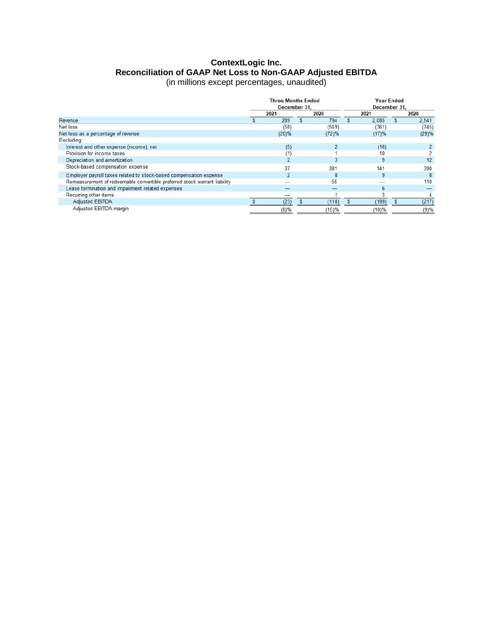# **ContextLogic Inc. Reconciliation of GAAP Net Loss to Non-GAAP Adjusted EBITDA**

| (in millions except percentages, unaudited) |  |
|---------------------------------------------|--|
|---------------------------------------------|--|

|                                                                           | <b>Three Months Ended</b><br>December 31. |  |       |  | <b>Year Ended</b><br>December 31. |      |       |
|---------------------------------------------------------------------------|-------------------------------------------|--|-------|--|-----------------------------------|------|-------|
|                                                                           | 2020<br>2021                              |  |       |  | 2021                              | 2020 |       |
| Revenue                                                                   | 289                                       |  | 794   |  | 2.085                             |      | 2.541 |
| Net loss                                                                  | (58)                                      |  | (569) |  | (361)                             |      | (745) |
| Net loss as a percentage of revenue                                       | (20)%                                     |  | (72)% |  | (17)%                             |      | (29)% |
| Excluding:                                                                |                                           |  |       |  |                                   |      |       |
| Interest and other expense (income), net                                  | (5)                                       |  |       |  | (16)                              |      | 2     |
| Provision for income taxes                                                | (1)                                       |  |       |  | 10                                |      |       |
| Depreciation and amortization                                             | 2                                         |  |       |  | 9                                 |      | 12    |
| Stock-based compensation expense                                          | 37                                        |  | 381   |  | 141                               |      | 390   |
| Employer payroll taxes related to stock-based compensation expense        | 2                                         |  | 8     |  | 9                                 |      | 8     |
| Remeasurement of redeemable convertible preferred stock warrant liability |                                           |  | 55    |  |                                   |      | 110   |
| Lease termination and impairment related expenses                         |                                           |  |       |  | 6                                 |      |       |
| Recurring other items                                                     |                                           |  |       |  | 3                                 |      |       |
| <b>Adjusted EBITDA</b>                                                    | (23)                                      |  | (118) |  | (199)                             |      | (217) |
| Adjusted EBITDA margin                                                    | (8)%                                      |  | (15)% |  | (10)%                             |      | (9)%  |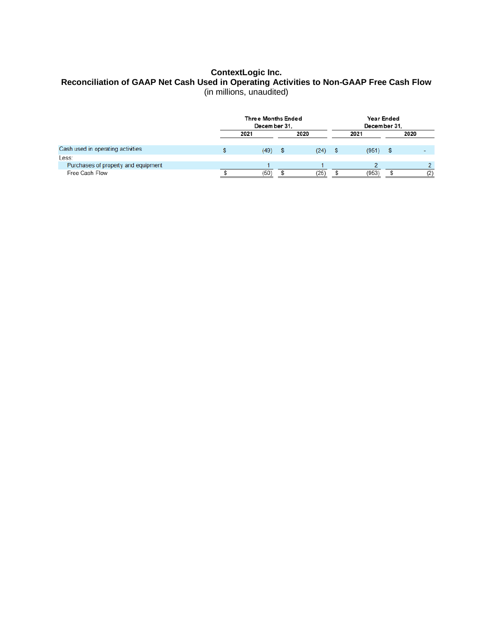#### **ContextLogic Inc. Reconciliation of GAAP Net Cash Used in Operating Activities to Non-GAAP Free Cash Flow** (in millions, unaudited)

|                                     | <b>Three Months Ended</b><br>December 31. |              |   |           |  | Year Ended<br>December 31. |      |
|-------------------------------------|-------------------------------------------|--------------|---|-----------|--|----------------------------|------|
|                                     |                                           | 2021<br>2020 |   |           |  | 2021                       | 2020 |
| Cash used in operating activities   |                                           | (49)         | S | $(24)$ \$ |  | $(951)$ \$                 |      |
| Less:                               |                                           |              |   |           |  |                            |      |
| Purchases of property and equipment |                                           |              |   |           |  |                            |      |
| Free Cash Flow                      |                                           | (50)         |   | (25)      |  | (953)                      | (2)  |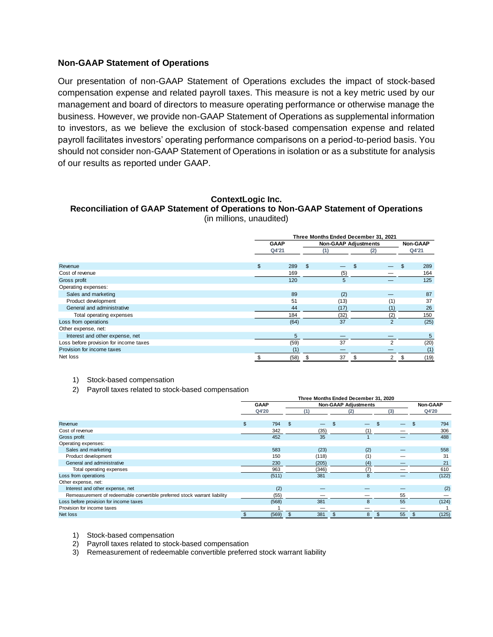#### **Non-GAAP Statement of Operations**

Our presentation of non-GAAP Statement of Operations excludes the impact of stock-based compensation expense and related payroll taxes. This measure is not a key metric used by our management and board of directors to measure operating performance or otherwise manage the business. However, we provide non-GAAP Statement of Operations as supplemental information to investors, as we believe the exclusion of stock-based compensation expense and related payroll facilitates investors' operating performance comparisons on a period-to-period basis. You should not consider non-GAAP Statement of Operations in isolation or as a substitute for analysis of our results as reported under GAAP.

#### **ContextLogic Inc.**

**Reconciliation of GAAP Statement of Operations to Non-GAAP Statement of Operations** (in millions, unaudited)

|                                        | Three Months Ended December 31, 2021 |             |     |                             |     |                |       |                 |  |  |
|----------------------------------------|--------------------------------------|-------------|-----|-----------------------------|-----|----------------|-------|-----------------|--|--|
|                                        |                                      | <b>GAAP</b> |     | <b>Non-GAAP Adjustments</b> |     |                |       | <b>Non-GAAP</b> |  |  |
|                                        |                                      | Q4'21       | (1) |                             | (2) |                | Q4'21 |                 |  |  |
|                                        |                                      |             |     |                             |     |                |       |                 |  |  |
| Revenue                                | \$                                   | 289         | \$  |                             |     |                | \$    | 289             |  |  |
| Cost of revenue                        |                                      | 169         |     | (5)                         |     |                |       | 164             |  |  |
| Gross profit                           |                                      | 120         |     | 5                           |     |                |       | 125             |  |  |
| Operating expenses:                    |                                      |             |     |                             |     |                |       |                 |  |  |
| Sales and marketing                    |                                      | 89          |     | (2)                         |     |                |       | 87              |  |  |
| Product development                    |                                      | 51          |     | (13)                        |     | (1)            |       | 37              |  |  |
| General and administrative             |                                      | 44          |     | (17)                        |     | (1)            |       | 26              |  |  |
| Total operating expenses               |                                      | 184         |     | (32)                        |     | (2)            |       | 150             |  |  |
| Loss from operations                   |                                      | (64)        |     | 37                          |     | $\overline{2}$ |       | (25)            |  |  |
| Other expense, net:                    |                                      |             |     |                             |     |                |       |                 |  |  |
| Interest and other expense, net        |                                      | 5           |     | —                           |     |                |       | 5               |  |  |
| Loss before provision for income taxes |                                      | (59)        |     | 37                          |     | $\mathfrak{p}$ |       | (20)            |  |  |
| Provision for income taxes             |                                      |             |     |                             |     |                |       | (1)             |  |  |
| Net loss                               |                                      | (58)        | \$  | 37                          | \$. | $\overline{2}$ | \$    | (19)            |  |  |

1) Stock-based compensation

2) Payroll taxes related to stock-based compensation

|                                                                           | Three Months Ended December 31, 2020 |       |    |                             |    |                 |  |     |  |       |  |
|---------------------------------------------------------------------------|--------------------------------------|-------|----|-----------------------------|----|-----------------|--|-----|--|-------|--|
|                                                                           | <b>GAAP</b>                          |       |    | <b>Non-GAAP Adjustments</b> |    | <b>Non-GAAP</b> |  |     |  |       |  |
|                                                                           |                                      | Q4'20 |    |                             |    | (2)             |  | (3) |  | Q4'20 |  |
|                                                                           |                                      |       |    |                             |    |                 |  |     |  |       |  |
| Revenue                                                                   | \$                                   | 794   | \$ |                             | \$ |                 |  |     |  | 794   |  |
| Cost of revenue                                                           |                                      | 342   |    | (35)                        |    |                 |  |     |  | 306   |  |
| Gross profit                                                              |                                      | 452   |    | 35                          |    |                 |  |     |  | 488   |  |
| Operating expenses:                                                       |                                      |       |    |                             |    |                 |  |     |  |       |  |
| Sales and marketing                                                       |                                      | 583   |    | (23)                        |    | (2)             |  |     |  | 558   |  |
| Product development                                                       |                                      | 150   |    | (118)                       |    | (1)             |  |     |  | 31    |  |
| General and administrative                                                |                                      | 230   |    | (205)                       |    | (4)             |  |     |  | 21    |  |
| Total operating expenses                                                  |                                      | 963   |    | (346)                       |    |                 |  |     |  | 610   |  |
| Loss from operations                                                      |                                      | (511) |    | 381                         |    | 8               |  |     |  | (122) |  |
| Other expense, net:                                                       |                                      |       |    |                             |    |                 |  |     |  |       |  |
| Interest and other expense, net                                           |                                      | (2)   |    |                             |    |                 |  |     |  | (2)   |  |
| Remeasurement of redeemable convertible preferred stock warrant liability |                                      | (55)  |    |                             |    |                 |  | 55  |  |       |  |
| Loss before provision for income taxes                                    |                                      | (568) |    | 381                         |    | 8               |  | 55  |  | (124) |  |
| Provision for income taxes                                                |                                      |       |    |                             |    |                 |  |     |  |       |  |
| Net loss                                                                  |                                      | (569) |    | 381                         |    | 8               |  | 55  |  | (125) |  |

1) Stock-based compensation

2) Payroll taxes related to stock-based compensation

3) Remeasurement of redeemable convertible preferred stock warrant liability